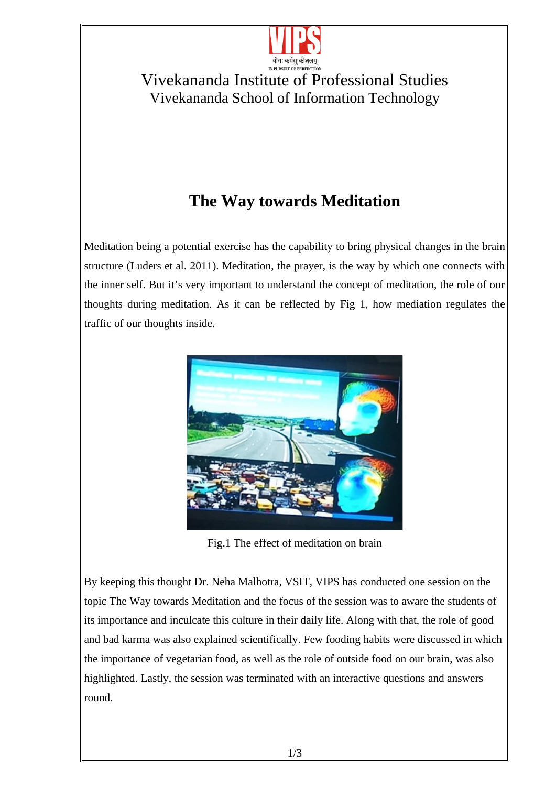

## Vivekananda Institute of Professional Studies Vivekananda School of Information Technology

## **The Way towards Meditation**

Meditation being a potential exercise has the capability to bring physical changes in the brain structure (Luders et al. 2011). Meditation, the prayer, is the way by which one connects with the inner self. But it's very important to understand the concept of meditation, the role of our thoughts during meditation. As it can be reflected by Fig 1, how mediation regulates the traffic of our thoughts inside.



Fig.1 The effect of meditation on brain

By keeping this thought Dr. Neha Malhotra, VSIT, VIPS has conducted one session on the topic The Way towards Meditation and the focus of the session was to aware the students of its importance and inculcate this culture in their daily life. Along with that, the role of good and bad karma was also explained scientifically. Few fooding habits were discussed in which the importance of vegetarian food, as well as the role of outside food on our brain, was also highlighted. Lastly, the session was terminated with an interactive questions and answers round.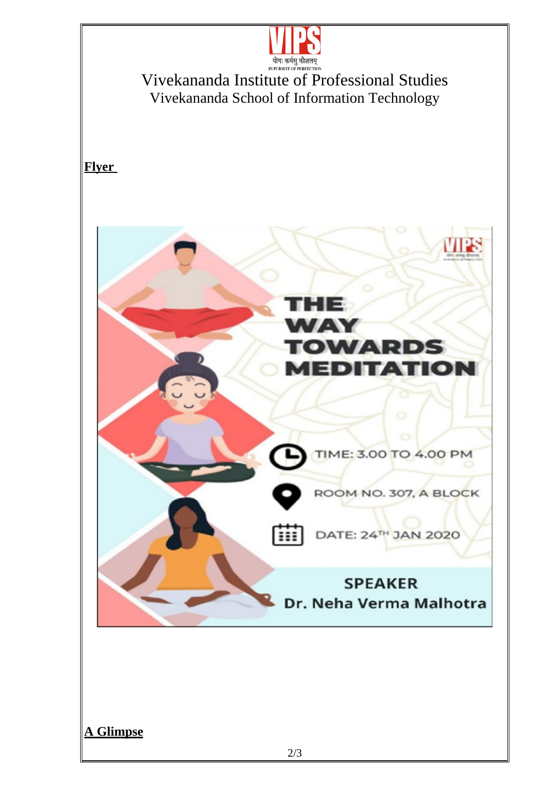

Vivekananda Institute of Professional Studies Vivekananda School of Information Technology

**Flyer**